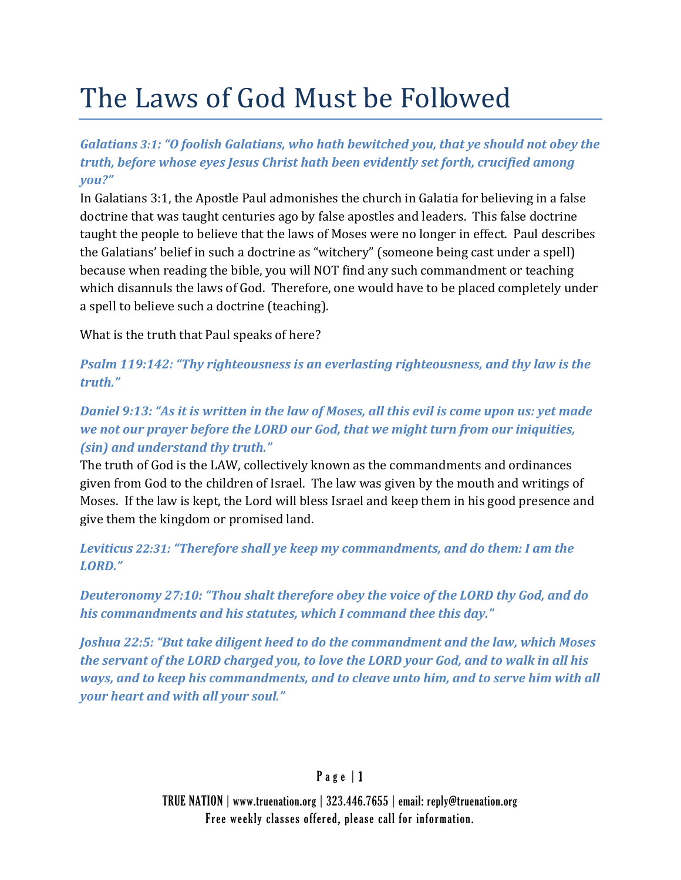# The Laws of God Must be Followed

*Galatians 3:1: "O foolish Galatians, who hath bewitched you, that ye should not obey the truth, before whose eyes Jesus Christ hath been evidently set forth, crucified among you?"*

In Galatians 3:1, the Apostle Paul admonishes the church in Galatia for believing in a false doctrine that was taught centuries ago by false apostles and leaders. This false doctrine taught the people to believe that the laws of Moses were no longer in effect. Paul describes the Galatians' belief in such a doctrine as "witchery" (someone being cast under a spell) because when reading the bible, you will NOT find any such commandment or teaching which disannuls the laws of God. Therefore, one would have to be placed completely under a spell to believe such a doctrine (teaching).

What is the truth that Paul speaks of here?

*Psalm 119:142: "Thy righteousness is an everlasting righteousness, and thy law is the truth."*

# Daniel 9:13: "As it is written in the law of Moses, all this evil is come upon us: yet made *we not our prayer before the LORD our God, that we might turn from our iniquities, (sin) and understand thy truth."*

The truth of God is the LAW, collectively known as the commandments and ordinances given from God to the children of Israel. The law was given by the mouth and writings of Moses. If the law is kept, the Lord will bless Israel and keep them in his good presence and give them the kingdom or promised land.

*Leviticus 22:31: "Therefore shall ye keep my commandments, and do them: I am the LORD."*

*Deuteronomy 27:10: "Thou shalt therefore obey the voice of the LORD thy God, and do his commandments and his statutes, which I command thee this day."*

*Joshua 22:5: "But take diligent heed to do the commandment and the law, which Moses the servant of the LORD charged you, to love the LORD your God, and to walk in all his ways, and to keep his commandments, and to cleave unto him, and to serve him with all your heart and with all your soul."*

# P a g e | 1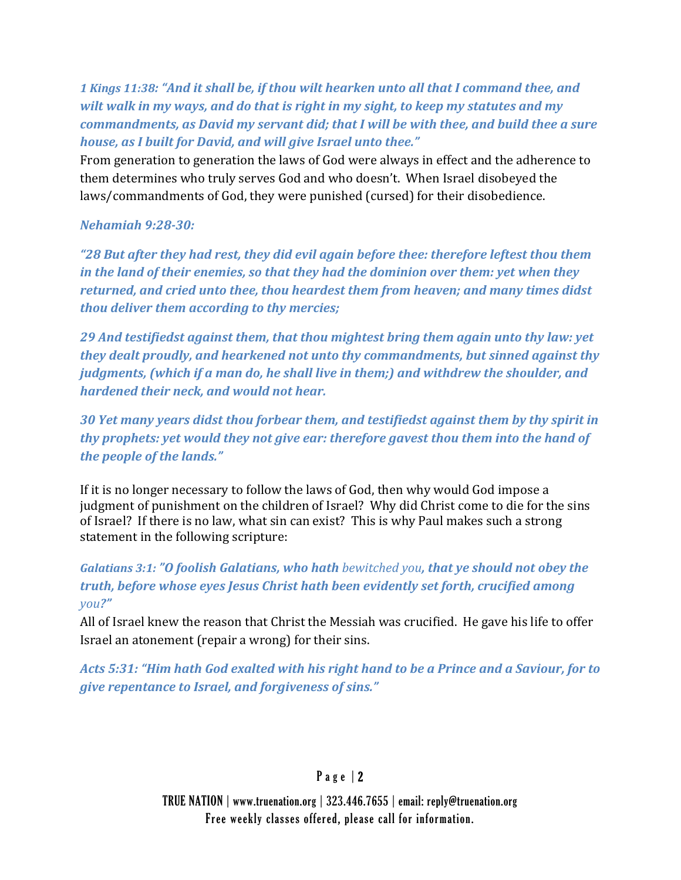*1 Kings 11:38: "And it shall be, if thou wilt hearken unto all that I command thee, and wilt walk in my ways, and do that is right in my sight, to keep my statutes and my commandments, as David my servant did; that I will be with thee, and build thee a sure house, as I built for David, and will give Israel unto thee."*

From generation to generation the laws of God were always in effect and the adherence to them determines who truly serves God and who doesn't. When Israel disobeyed the laws/commandments of God, they were punished (cursed) for their disobedience.

#### *Nehamiah 9:2830:*

*"28 But after they had rest, they did evil again before thee: therefore leftest thou them in the land of their enemies, so that they had the dominion over them: yet when they returned, and cried unto thee, thou heardest them from heaven; and many times didst thou deliver them according to thy mercies;* 

*29 And testifiedst against them, that thou mightest bring them again unto thy law: yet they dealt proudly, and hearkened not unto thy commandments, but sinned against thy judgments, (which if a man do, he shall live in them;) and withdrew the shoulder, and hardened their neck, and would not hear.* 

*30 Yet many years didst thou forbear them, and testifiedst against them by thy spirit in thy prophets: yet would they not give ear: therefore gavest thou them into the hand of the people of the lands."*

If it is no longer necessary to follow the laws of God, then why would God impose a judgment of punishment on the children of Israel? Why did Christ come to die for the sins of Israel? If there is no law, what sin can exist? This is why Paul makes such a strong statement in the following scripture:

*Galatians 3:1: "O foolish Galatians, who hath bewitched you, that ye should not obey the truth, before whose eyes Jesus Christ hath been evidently set forth, crucified among you?"*

All of Israel knew the reason that Christ the Messiah was crucified. He gave his life to offer Israel an atonement (repair a wrong) for their sins.

*Acts 5:31: "Him hath God exalted with his right hand to be a Prince and a Saviour, for to give repentance to Israel, and forgiveness of sins."*

# P a g e | 2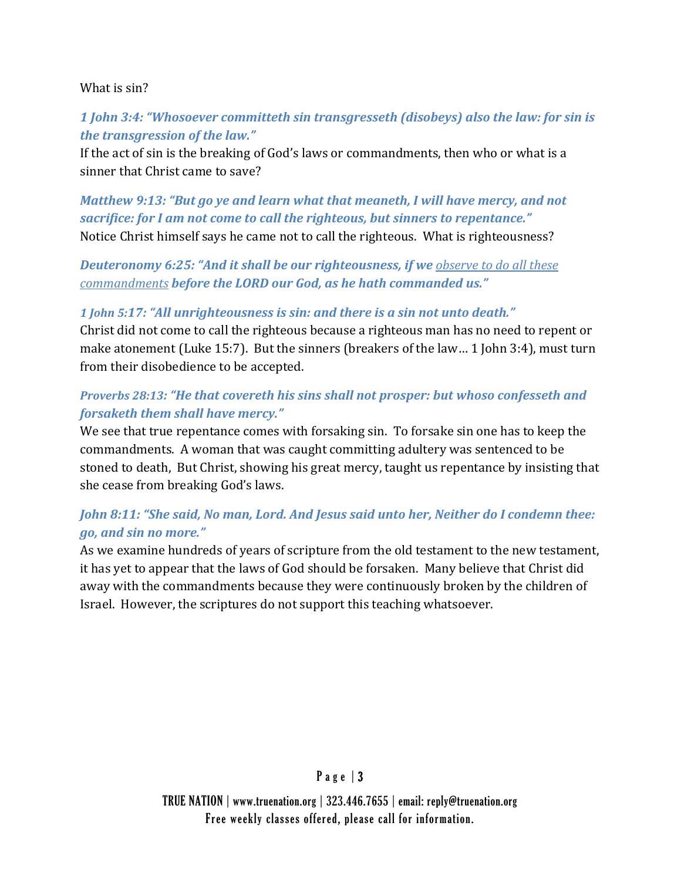#### What is sin?

## *1 John 3:4: "Whosoever committeth sin transgresseth (disobeys) also the law: for sin is the transgression of the law."*

If the act of sin is the breaking of God's laws or commandments, then who or what is a sinner that Christ came to save?

*Matthew 9:13: "But go ye and learn what that meaneth, I will have mercy, and not sacrifice: for I am not come to call the righteous, but sinners to repentance."* Notice Christ himself says he came not to call the righteous. What is righteousness?

## *Deuteronomy 6:25: "And it shall be our righteousness, if we observe to do all these commandments before the LORD our God, as he hath commanded us."*

#### *1 John 5:17: "All unrighteousness is sin: and there is a sin not unto death."*

Christ did not come to call the righteous because a righteous man has no need to repent or make atonement (Luke 15:7). But the sinners (breakers of the law… 1 John 3:4), must turn from their disobedience to be accepted.

## *Proverbs 28:13: "He that covereth his sins shall not prosper: but whoso confesseth and forsaketh them shall have mercy."*

We see that true repentance comes with forsaking sin. To forsake sin one has to keep the commandments. A woman that was caught committing adultery was sentenced to be stoned to death, But Christ, showing his great mercy, taught us repentance by insisting that she cease from breaking God's laws.

## *John 8:11: "She said, No man, Lord. And Jesus said unto her, Neither do I condemn thee: go, and sin no more."*

As we examine hundreds of years of scripture from the old testament to the new testament, it has yet to appear that the laws of God should be forsaken. Many believe that Christ did away with the commandments because they were continuously broken by the children of Israel. However, the scriptures do not support this teaching whatsoever.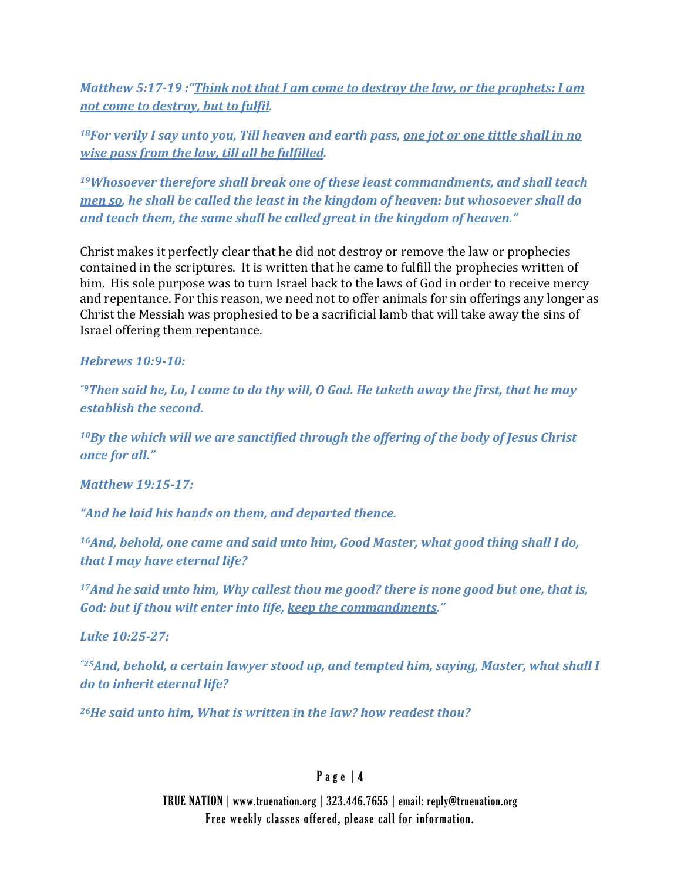*Matthew 5:1719 :"Think not that I am come to destroy the law, or the prophets: I am not come to destroy, but to fulfil.* 

*18For verily I say unto you, Till heaven and earth pass, one jot or one tittle shall in no wise pass from the law, till all be fulfilled.* 

*19Whosoever therefore shall break one of these least commandments, and shall teach men so, he shall be called the least in the kingdom of heaven: but whosoever shall do and teach them, the same shall be called great in the kingdom of heaven."*

Christ makes it perfectly clear that he did not destroy or remove the law or prophecies contained in the scriptures. It is written that he came to fulfill the prophecies written of him. His sole purpose was to turn Israel back to the laws of God in order to receive mercy and repentance. For this reason, we need not to offer animals for sin offerings any longer as Christ the Messiah was prophesied to be a sacrificial lamb that will take away the sins of Israel offering them repentance.

#### *Hebrews 10:910:*

"Then said he, Lo, I come to do thy will, O God. He taketh away the first, that he may *establish the second.* 

*10By the which will we are sanctified through the offering of the body of Jesus Christ once for all."* 

*Matthew 19:1517:*

*"And he laid his hands on them, and departed thence.* 

*16And, behold, one came and said unto him, Good Master, what good thing shall I do, that I may have eternal life?* 

*17And he said unto him, Why callest thou me good? there is none good but one, that is, God: but if thou wilt enter into life, keep the commandments."*

*Luke 10:2527:*

*"25And, behold, a certain lawyer stood up, and tempted him, saying, Master, what shall I do to inherit eternal life?* 

*26He said unto him, What is written in the law? how readest thou?* 

# Page  $|4$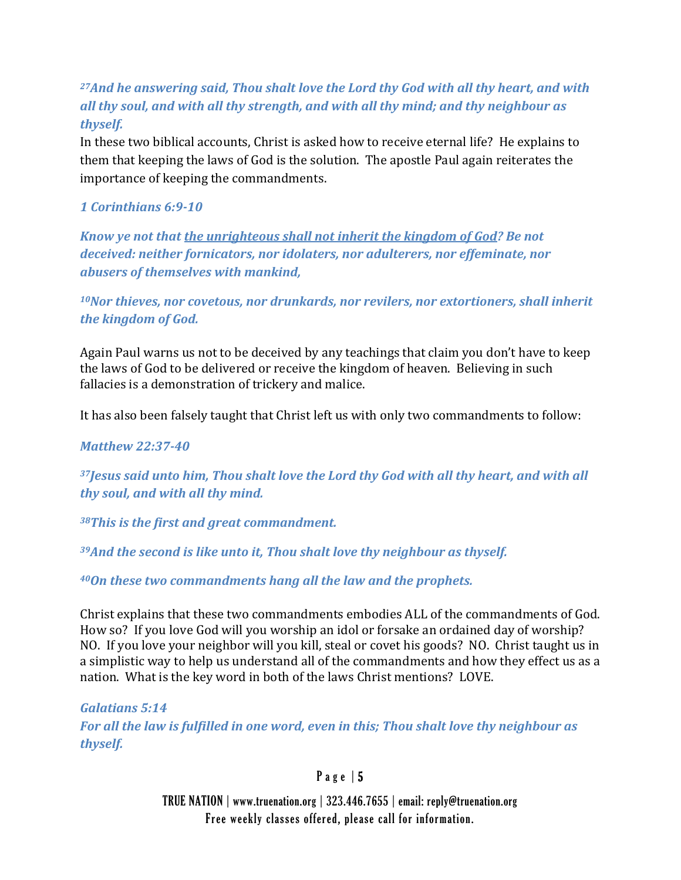# *27And he answering said, Thou shalt love the Lord thy God with all thy heart, and with all thy soul, and with all thy strength, and with all thy mind; and thy neighbour as thyself.*

In these two biblical accounts, Christ is asked how to receive eternal life? He explains to them that keeping the laws of God is the solution. The apostle Paul again reiterates the importance of keeping the commandments.

## *1 Corinthians 6:910*

*Know ye not that the unrighteous shall not inherit the kingdom of God? Be not deceived: neither fornicators, nor idolaters, nor adulterers, nor effeminate, nor abusers of themselves with mankind,* 

*10Nor thieves, nor covetous, nor drunkards, nor revilers, nor extortioners, shall inherit the kingdom of God.*

Again Paul warns us not to be deceived by any teachings that claim you don't have to keep the laws of God to be delivered or receive the kingdom of heaven. Believing in such fallacies is a demonstration of trickery and malice.

It has also been falsely taught that Christ left us with only two commandments to follow:

*Matthew 22:3740*

*37Jesus said unto him, Thou shalt love the Lord thy God with all thy heart, and with all thy soul, and with all thy mind.* 

*38This is the first and great commandment.* 

*39And the second is like unto it, Thou shalt love thy neighbour as thyself.* 

*40On these two commandments hang all the law and the prophets.* 

Christ explains that these two commandments embodies ALL of the commandments of God. How so? If you love God will you worship an idol or forsake an ordained day of worship? NO. If you love your neighbor will you kill, steal or covet his goods? NO. Christ taught us in a simplistic way to help us understand all of the commandments and how they effect us as a nation. What is the key word in both of the laws Christ mentions? LOVE.

*Galatians 5:14 For all the law is fulfilled in one word, even in this; Thou shalt love thy neighbour as thyself.*

Page  $|5$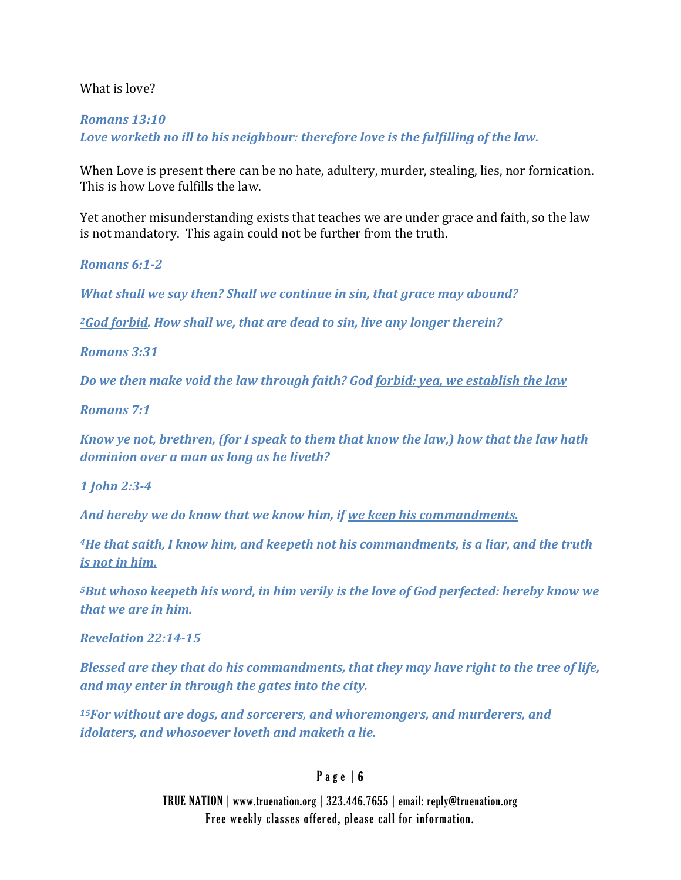#### What is love?

#### *Romans 13:10 Love worketh no ill to his neighbour: therefore love is the fulfilling of the law.*

When Love is present there can be no hate, adultery, murder, stealing, lies, nor fornication. This is how Love fulfills the law.

Yet another misunderstanding exists that teaches we are under grace and faith, so the law is not mandatory. This again could not be further from the truth.

*Romans 6:12*

*What shall we say then? Shall we continue in sin, that grace may abound?* 

*2God forbid. How shall we, that are dead to sin, live any longer therein?* 

*Romans 3:31*

*Do we then make void the law through faith? God forbid: yea, we establish the law*

*Romans 7:1*

*Know ye not, brethren, (for I speak to them that know the law,) how that the law hath dominion over a man as long as he liveth?*

*1 John 2:34*

*And hereby we do know that we know him, if we keep his commandments.* 

*4He that saith, I know him, and keepeth not his commandments, is a liar, and the truth is not in him.* 

*5But whoso keepeth his word, in him verily is the love of God perfected: hereby know we that we are in him.* 

*Revelation 22:1415*

*Blessed are they that do his commandments, that they may have right to the tree of life, and may enter in through the gates into the city.* 

*15For without are dogs, and sorcerers, and whoremongers, and murderers, and idolaters, and whosoever loveth and maketh a lie.* 

## Page  $| 6$